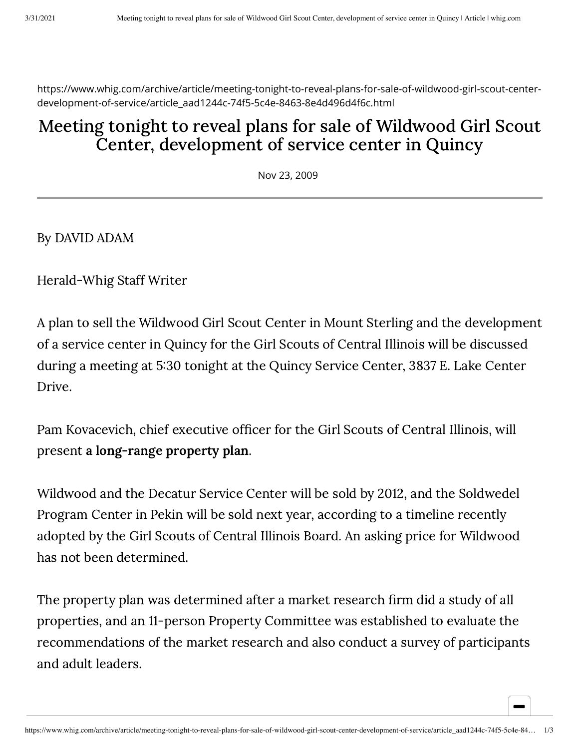https://www.whig.com/archive/article/meeting-tonight-to-reveal-plans-for-sale-of-wildwood-girl-scout-centerdevelopment-of-service/article\_aad1244c-74f5-5c4e-8463-8e4d496d4f6c.html

## Meeting tonight to reveal plans for sale of Wildwood Girl Scout Center, development of service center in Quincy

Nov 23, 2009

By DAVID ADAM

Herald-Whig Staff Writer

A plan to sell the Wildwood Girl Scout Center in Mount Sterling and the development of a service center in Quincy for the Girl Scouts of Central Illinois will be discussed during a meeting at 530 tonight at the Quincy Service Center, 3837 E. Lake Center Drive.

Pam Kovacevich, chief executive officer for the Girl Scouts of Central Illinois, will present a [long-range](http://www.girlscouts-gsci.org/kaleidoscope-research) property plan.

Wildwood and the Decatur Service Center will be sold by 2012, and the Soldwedel Program Center in Pekin will be sold next year, according to a timeline recently adopted by the Girl Scouts of Central Illinois Board. An asking price for Wildwood has not been determined.

The property plan was determined after a market research firm did a study of all properties, and an 11-person Property Committee was established to evaluate the recommendations of the market research and also conduct a survey of participants and adult leaders.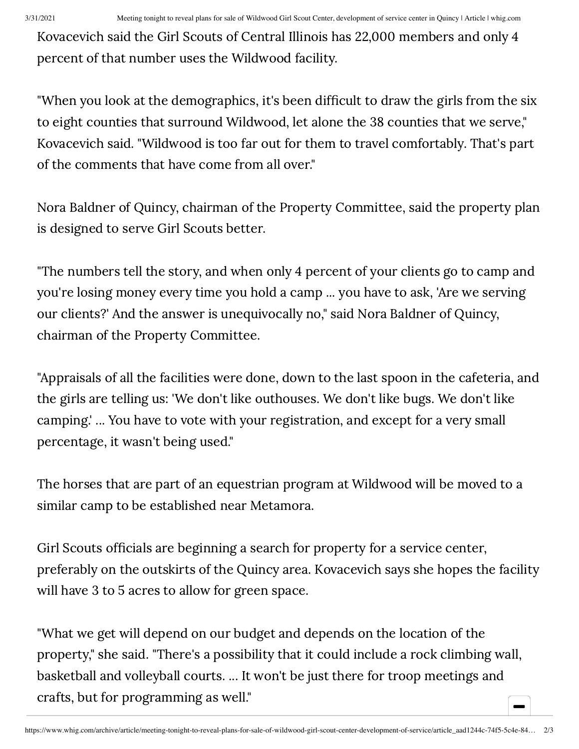Kovacevich said the Girl Scouts of Central Illinois has 22,000 members and only 4 percent of that number uses the Wildwood facility.

"When you look at the demographics, it's been difficult to draw the girls from the six to eight counties that surround Wildwood, let alone the 38 counties that we serve," Kovacevich said. "Wildwood is too far out for them to travel comfortably. That's part of the comments that have come from all over."

Nora Baldner of Quincy, chairman of the Property Committee, said the property plan is designed to serve Girl Scouts better.

"The numbers tell the story, and when only 4 percent of your clients go to camp and you're losing money every time you hold a camp ... you have to ask, 'Are we serving our clients?' And the answer is unequivocally no," said Nora Baldner of Quincy, chairman of the Property Committee.

"Appraisals of all the facilities were done, down to the last spoon in the cafeteria, and the girls are telling us: 'We don't like outhouses. We don't like bugs. We don't like camping.' ... You have to vote with your registration, and except for a very small percentage, it wasn't being used."

The horses that are part of an equestrian program at Wildwood will be moved to a similar camp to be established near Metamora.

Girl Scouts officials are beginning a search for property for a service center, preferably on the outskirts of the Quincy area. Kovacevich says she hopes the facility will have 3 to 5 acres to allow for green space.

"What we get will depend on our budget and depends on the location of the property," she said. "There's a possibility that it could include a rock climbing wall, basketball and volleyball courts. ... It won't be just there for troop meetings and crafts, but for programming as well."